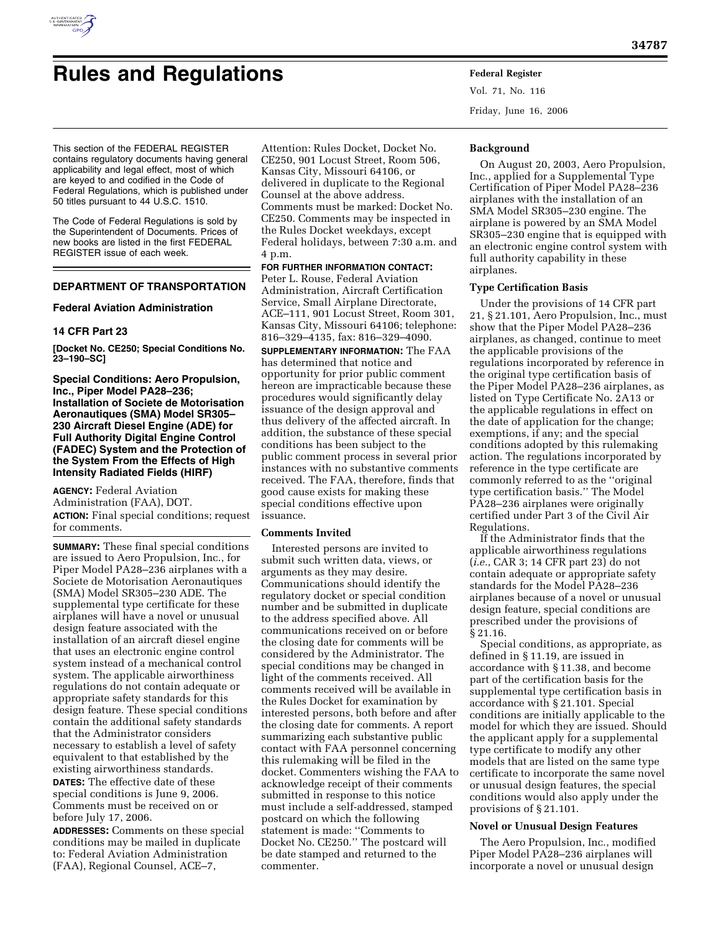

# **Rules and Regulations Federal Register**

Vol. 71, No. 116 Friday, June 16, 2006

This section of the FEDERAL REGISTER contains regulatory documents having general applicability and legal effect, most of which are keyed to and codified in the Code of Federal Regulations, which is published under 50 titles pursuant to 44 U.S.C. 1510.

The Code of Federal Regulations is sold by the Superintendent of Documents. Prices of new books are listed in the first FEDERAL REGISTER issue of each week.

# **DEPARTMENT OF TRANSPORTATION**

#### **Federal Aviation Administration**

#### **14 CFR Part 23**

**[Docket No. CE250; Special Conditions No. 23–190–SC]** 

**Special Conditions: Aero Propulsion, Inc., Piper Model PA28–236; Installation of Societe de Motorisation Aeronautiques (SMA) Model SR305– 230 Aircraft Diesel Engine (ADE) for Full Authority Digital Engine Control (FADEC) System and the Protection of the System From the Effects of High Intensity Radiated Fields (HIRF)** 

**AGENCY:** Federal Aviation Administration (FAA), DOT. **ACTION:** Final special conditions; request for comments.

**SUMMARY:** These final special conditions are issued to Aero Propulsion, Inc., for Piper Model PA28–236 airplanes with a Societe de Motorisation Aeronautiques (SMA) Model SR305–230 ADE. The supplemental type certificate for these airplanes will have a novel or unusual design feature associated with the installation of an aircraft diesel engine that uses an electronic engine control system instead of a mechanical control system. The applicable airworthiness regulations do not contain adequate or appropriate safety standards for this design feature. These special conditions contain the additional safety standards that the Administrator considers necessary to establish a level of safety equivalent to that established by the existing airworthiness standards.

**DATES:** The effective date of these special conditions is June 9, 2006. Comments must be received on or before July 17, 2006.

**ADDRESSES:** Comments on these special conditions may be mailed in duplicate to: Federal Aviation Administration (FAA), Regional Counsel, ACE–7,

Attention: Rules Docket, Docket No. CE250, 901 Locust Street, Room 506, Kansas City, Missouri 64106, or delivered in duplicate to the Regional Counsel at the above address. Comments must be marked: Docket No. CE250. Comments may be inspected in the Rules Docket weekdays, except Federal holidays, between 7:30 a.m. and 4 p.m.

## **FOR FURTHER INFORMATION CONTACT:**

Peter L. Rouse, Federal Aviation Administration, Aircraft Certification Service, Small Airplane Directorate, ACE–111, 901 Locust Street, Room 301, Kansas City, Missouri 64106; telephone: 816–329–4135, fax: 816–329–4090.

**SUPPLEMENTARY INFORMATION:** The FAA has determined that notice and opportunity for prior public comment hereon are impracticable because these procedures would significantly delay issuance of the design approval and thus delivery of the affected aircraft. In addition, the substance of these special conditions has been subject to the public comment process in several prior instances with no substantive comments received. The FAA, therefore, finds that good cause exists for making these special conditions effective upon issuance.

#### **Comments Invited**

Interested persons are invited to submit such written data, views, or arguments as they may desire. Communications should identify the regulatory docket or special condition number and be submitted in duplicate to the address specified above. All communications received on or before the closing date for comments will be considered by the Administrator. The special conditions may be changed in light of the comments received. All comments received will be available in the Rules Docket for examination by interested persons, both before and after the closing date for comments. A report summarizing each substantive public contact with FAA personnel concerning this rulemaking will be filed in the docket. Commenters wishing the FAA to acknowledge receipt of their comments submitted in response to this notice must include a self-addressed, stamped postcard on which the following statement is made: ''Comments to Docket No. CE250.'' The postcard will be date stamped and returned to the commenter.

## **Background**

On August 20, 2003, Aero Propulsion, Inc., applied for a Supplemental Type Certification of Piper Model PA28–236 airplanes with the installation of an SMA Model SR305–230 engine. The airplane is powered by an SMA Model SR305–230 engine that is equipped with an electronic engine control system with full authority capability in these airplanes.

#### **Type Certification Basis**

Under the provisions of 14 CFR part 21, § 21.101, Aero Propulsion, Inc., must show that the Piper Model PA28–236 airplanes, as changed, continue to meet the applicable provisions of the regulations incorporated by reference in the original type certification basis of the Piper Model PA28–236 airplanes, as listed on Type Certificate No. 2A13 or the applicable regulations in effect on the date of application for the change; exemptions, if any; and the special conditions adopted by this rulemaking action. The regulations incorporated by reference in the type certificate are commonly referred to as the ''original type certification basis.'' The Model PA28–236 airplanes were originally certified under Part 3 of the Civil Air Regulations.

If the Administrator finds that the applicable airworthiness regulations (*i.e.*, CAR 3; 14 CFR part 23) do not contain adequate or appropriate safety standards for the Model PA28–236 airplanes because of a novel or unusual design feature, special conditions are prescribed under the provisions of § 21.16.

Special conditions, as appropriate, as defined in § 11.19, are issued in accordance with § 11.38, and become part of the certification basis for the supplemental type certification basis in accordance with § 21.101. Special conditions are initially applicable to the model for which they are issued. Should the applicant apply for a supplemental type certificate to modify any other models that are listed on the same type certificate to incorporate the same novel or unusual design features, the special conditions would also apply under the provisions of § 21.101.

#### **Novel or Unusual Design Features**

The Aero Propulsion, Inc., modified Piper Model PA28–236 airplanes will incorporate a novel or unusual design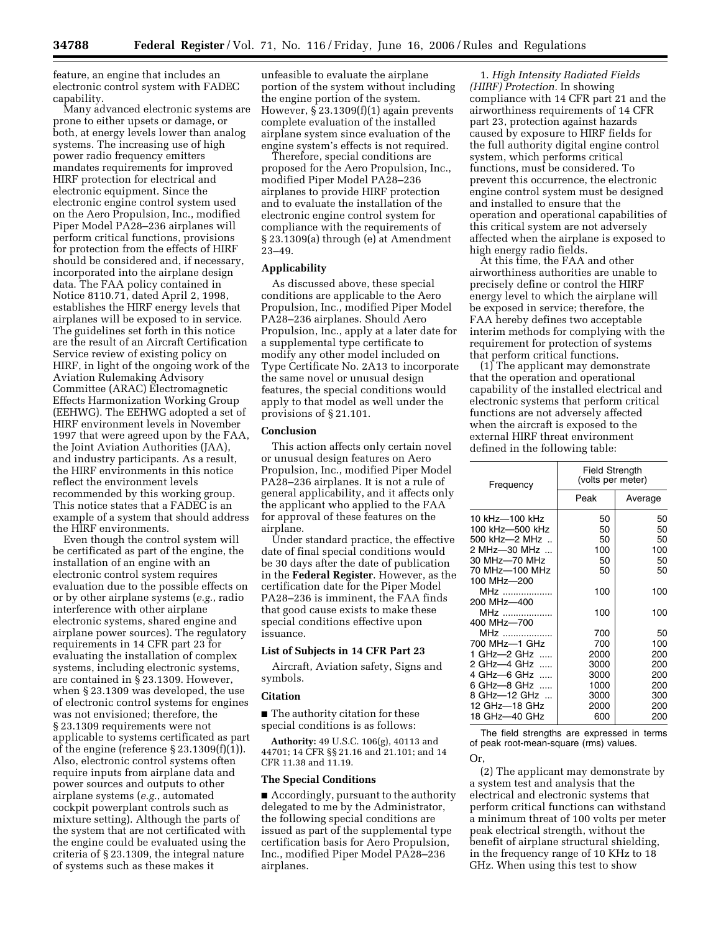feature, an engine that includes an electronic control system with FADEC capability.

Many advanced electronic systems are prone to either upsets or damage, or both, at energy levels lower than analog systems. The increasing use of high power radio frequency emitters mandates requirements for improved HIRF protection for electrical and electronic equipment. Since the electronic engine control system used on the Aero Propulsion, Inc., modified Piper Model PA28–236 airplanes will perform critical functions, provisions for protection from the effects of HIRF should be considered and, if necessary, incorporated into the airplane design data. The FAA policy contained in Notice 8110.71, dated April 2, 1998, establishes the HIRF energy levels that airplanes will be exposed to in service. The guidelines set forth in this notice are the result of an Aircraft Certification Service review of existing policy on HIRF, in light of the ongoing work of the Aviation Rulemaking Advisory Committee (ARAC) Electromagnetic Effects Harmonization Working Group (EEHWG). The EEHWG adopted a set of HIRF environment levels in November 1997 that were agreed upon by the FAA, the Joint Aviation Authorities (JAA), and industry participants. As a result, the HIRF environments in this notice reflect the environment levels recommended by this working group. This notice states that a FADEC is an example of a system that should address the HIRF environments.

Even though the control system will be certificated as part of the engine, the installation of an engine with an electronic control system requires evaluation due to the possible effects on or by other airplane systems (*e.g.*, radio interference with other airplane electronic systems, shared engine and airplane power sources). The regulatory requirements in 14 CFR part 23 for evaluating the installation of complex systems, including electronic systems, are contained in § 23.1309. However, when § 23.1309 was developed, the use of electronic control systems for engines was not envisioned; therefore, the § 23.1309 requirements were not applicable to systems certificated as part of the engine (reference  $\S 23.1309(f)(1)$ ). Also, electronic control systems often require inputs from airplane data and power sources and outputs to other airplane systems (*e.g.*, automated cockpit powerplant controls such as mixture setting). Although the parts of the system that are not certificated with the engine could be evaluated using the criteria of § 23.1309, the integral nature of systems such as these makes it

unfeasible to evaluate the airplane portion of the system without including the engine portion of the system. However, § 23.1309(f)(1) again prevents complete evaluation of the installed airplane system since evaluation of the engine system's effects is not required.

Therefore, special conditions are proposed for the Aero Propulsion, Inc., modified Piper Model PA28–236 airplanes to provide HIRF protection and to evaluate the installation of the electronic engine control system for compliance with the requirements of § 23.1309(a) through (e) at Amendment 23–49.

#### **Applicability**

As discussed above, these special conditions are applicable to the Aero Propulsion, Inc., modified Piper Model PA28–236 airplanes. Should Aero Propulsion, Inc., apply at a later date for a supplemental type certificate to modify any other model included on Type Certificate No. 2A13 to incorporate the same novel or unusual design features, the special conditions would apply to that model as well under the provisions of § 21.101.

#### **Conclusion**

This action affects only certain novel or unusual design features on Aero Propulsion, Inc., modified Piper Model PA28–236 airplanes. It is not a rule of general applicability, and it affects only the applicant who applied to the FAA for approval of these features on the airplane.

Under standard practice, the effective date of final special conditions would be 30 days after the date of publication in the **Federal Register**. However, as the certification date for the Piper Model PA28–236 is imminent, the FAA finds that good cause exists to make these special conditions effective upon issuance.

# **List of Subjects in 14 CFR Part 23**

Aircraft, Aviation safety, Signs and symbols.

## **Citation**

■ The authority citation for these special conditions is as follows:

**Authority:** 49 U.S.C. 106(g), 40113 and 44701; 14 CFR §§ 21.16 and 21.101; and 14 CFR 11.38 and 11.19.

### **The Special Conditions**

■ Accordingly, pursuant to the authority delegated to me by the Administrator, the following special conditions are issued as part of the supplemental type certification basis for Aero Propulsion, Inc., modified Piper Model PA28–236 airplanes.

1. *High Intensity Radiated Fields (HIRF) Protection.* In showing compliance with 14 CFR part 21 and the airworthiness requirements of 14 CFR part 23, protection against hazards caused by exposure to HIRF fields for the full authority digital engine control system, which performs critical functions, must be considered. To prevent this occurrence, the electronic engine control system must be designed and installed to ensure that the operation and operational capabilities of this critical system are not adversely affected when the airplane is exposed to high energy radio fields.

At this time, the FAA and other airworthiness authorities are unable to precisely define or control the HIRF energy level to which the airplane will be exposed in service; therefore, the FAA hereby defines two acceptable interim methods for complying with the requirement for protection of systems that perform critical functions.

(1) The applicant may demonstrate that the operation and operational capability of the installed electrical and electronic systems that perform critical functions are not adversely affected when the aircraft is exposed to the external HIRF threat environment defined in the following table:

| Frequency               | <b>Field Strength</b><br>(volts per meter) |         |
|-------------------------|--------------------------------------------|---------|
|                         | Peak                                       | Average |
| 10 kHz-100 kHz          | 50                                         | 50      |
| 100 kHz-500 kHz         | 50                                         | 50      |
| 500 kHz-2 MHz           | 50                                         | 50      |
| 2 MHz-30 MHz            | 100                                        | 100     |
| 30 MHz-70 MHz           | 50                                         | 50      |
| 70 MHz-100 MHz          | 50                                         | 50      |
| 100 MHz-200             |                                            |         |
| MHz                     | 100                                        | 100     |
| 200 MHz-400             |                                            |         |
| MHz                     | 100                                        | 100     |
| 400 MHz-700             |                                            |         |
| MHz                     | 700                                        | 50      |
| 700 MHz-1 GHz           | 700                                        | 100     |
| 1 GHz—2 GHz<br>$\cdots$ | 2000                                       | 200     |
| 2 GHz-4 GHz             | 3000                                       | 200     |
| 4 GHz-6 GHz             | 3000                                       | 200     |
| 6 GHz—8 GHz             | 1000                                       | 200     |
| 8 GHz—12 GHz            | 3000                                       | 300     |
| 12 GHz-18 GHz           | 2000                                       | 200     |
| 18 GHz-40 GHz           | 600                                        | 200     |

The field strengths are expressed in terms of peak root-mean-square (rms) values.

Or,

(2) The applicant may demonstrate by a system test and analysis that the electrical and electronic systems that perform critical functions can withstand a minimum threat of 100 volts per meter peak electrical strength, without the benefit of airplane structural shielding, in the frequency range of 10 KHz to 18 GHz. When using this test to show